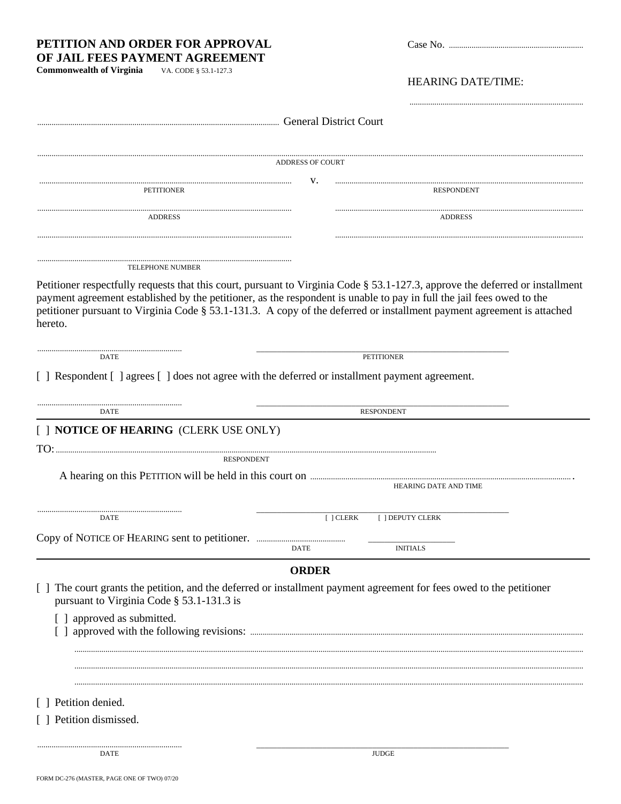| PETITION AND ORDER FOR APPROVAL<br>OF JAIL FEES PAYMENT AGREEMENT                                                                |                                                                                                                                                                                                                                                         |
|----------------------------------------------------------------------------------------------------------------------------------|---------------------------------------------------------------------------------------------------------------------------------------------------------------------------------------------------------------------------------------------------------|
| <b>Commonwealth of Virginia</b><br>VA. CODE § 53.1-127.3                                                                         |                                                                                                                                                                                                                                                         |
|                                                                                                                                  | <b>HEARING DATE/TIME:</b>                                                                                                                                                                                                                               |
|                                                                                                                                  |                                                                                                                                                                                                                                                         |
|                                                                                                                                  |                                                                                                                                                                                                                                                         |
|                                                                                                                                  | <b>ADDRESS OF COURT</b>                                                                                                                                                                                                                                 |
| <b>PETITIONER</b>                                                                                                                | V.<br><b>RESPONDENT</b>                                                                                                                                                                                                                                 |
| <b>ADDRESS</b>                                                                                                                   | ADDRESS                                                                                                                                                                                                                                                 |
|                                                                                                                                  |                                                                                                                                                                                                                                                         |
| <b>TELEPHONE NUMBER</b>                                                                                                          |                                                                                                                                                                                                                                                         |
| payment agreement established by the petitioner, as the respondent is unable to pay in full the jail fees owed to the<br>hereto. | Petitioner respectfully requests that this court, pursuant to Virginia Code § 53.1-127.3, approve the deferred or installment<br>petitioner pursuant to Virginia Code § 53.1-131.3. A copy of the deferred or installment payment agreement is attached |
| DATE                                                                                                                             | <b>PETITIONER</b>                                                                                                                                                                                                                                       |
| [] Respondent [] agrees [] does not agree with the deferred or installment payment agreement.                                    |                                                                                                                                                                                                                                                         |
| DATE                                                                                                                             | <b>RESPONDENT</b>                                                                                                                                                                                                                                       |
| [ ] NOTICE OF HEARING (CLERK USE ONLY)                                                                                           |                                                                                                                                                                                                                                                         |
|                                                                                                                                  |                                                                                                                                                                                                                                                         |
| <b>RESPONDENT</b>                                                                                                                |                                                                                                                                                                                                                                                         |
|                                                                                                                                  | HEARING DATE AND TIME                                                                                                                                                                                                                                   |
| DATE                                                                                                                             | $\lceil$ $\lceil$ CLERK<br>[ ] DEPUTY CLERK                                                                                                                                                                                                             |
|                                                                                                                                  |                                                                                                                                                                                                                                                         |
|                                                                                                                                  | <b>INITIALS</b><br><b>DATE</b>                                                                                                                                                                                                                          |
|                                                                                                                                  | <b>ORDER</b>                                                                                                                                                                                                                                            |
| pursuant to Virginia Code § 53.1-131.3 is                                                                                        | The court grants the petition, and the deferred or installment payment agreement for fees owed to the petitioner                                                                                                                                        |
| [ ] approved as submitted.                                                                                                       |                                                                                                                                                                                                                                                         |
|                                                                                                                                  |                                                                                                                                                                                                                                                         |
|                                                                                                                                  |                                                                                                                                                                                                                                                         |
| Petition denied.                                                                                                                 |                                                                                                                                                                                                                                                         |
| [ ] Petition dismissed.                                                                                                          |                                                                                                                                                                                                                                                         |
| DATE                                                                                                                             | <b>JUDGE</b>                                                                                                                                                                                                                                            |
|                                                                                                                                  |                                                                                                                                                                                                                                                         |

FORM DC-276 (MASTER, PAGE ONE OF TWO)  $07\!/20$